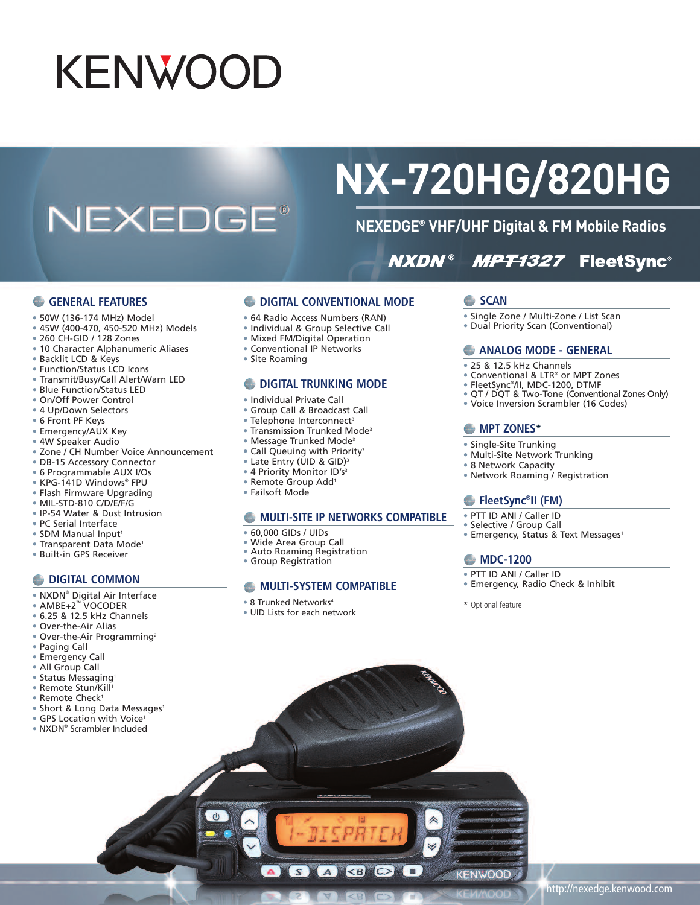# **KENWOOD**

## **NEXEDGE®**

## **NX-720HG/820HG**

## **NEXEDGE® VHF/UHF Digital & FM Mobile Radios**

#### **MPT1327 FleetSync® NXDN®**

#### **GENERAL FEATURES**

- 50W (136-174 MHz) Model
- 45W (400-470, 450-520 MHz) Models
- 260 CH-GID / 128 Zones
- 10 Character Alphanumeric Aliases • Backlit LCD & Keys
- 
- Function/Status LCD Icons
- Transmit/Busy/Call Alert/Warn LED
- Blue Function/Status LED
- On/Off Power Control
- 4 Up/Down Selectors
- 6 Front PF Keys
- Emergency/AUX Key
- 4W Speaker Audio
- Zone / CH Number Voice Announcement
- DB-15 Accessory Connector
- 6 Programmable AUX I/Os
- KPG-141D Windows® FPU
- Flash Firmware Upgrading
- MIL-STD-810 C/D/E/F/G
- IP-54 Water & Dust Intrusion
- PC Serial Interface
- SDM Manual Input<sup>1</sup>
- Transparent Data Mode<sup>1</sup>
- Built-in GPS Receiver
- 

#### **C** DIGITAL **COMMON**

- NXDN® Digital Air Interface
- AMBE+2™ VOCODER
- 6.25 & 12.5 kHz Channels
- Over-the-Air Alias
- Over-the-Air Programming<sup>2</sup>
- Paging Call
- Emergency Call
- All Group Call
- Status Messaging<sup>1</sup>
- Remote Stun/Kill 1
- Remote Check<sup>1</sup>
- Short & Long Data Messages<sup>1</sup>
- GPS Location with Voice<sup>1</sup>
- NXDN® Scrambler Included
- **DIGITAL CONVENTIONAL MODE**
- 64 Radio Access Numbers (RAN)
- Individual & Group Selective Call
- Mixed FM/Digital Operation
- Conventional IP Networks
- Site Roaming

#### **DIGITAL TRUNKING MODE**

- Individual Private Call
- Group Call & Broadcast Call
- Telephone Interconnect<sup>3</sup>
- Transmission Trunked Mode3
- Message Trunked Mode3
- Call Queuing with Priority<sup>3</sup>
- Late Entry (UID & GID) 3
- 4 Priority Monitor ID's<sup>3</sup>
- Remote Group Add1
- Failsoft Mode

#### **MULTI-SITE IP NETWORKS COMPATIBLE**

 $A$   $\otimes$   $O$ 

- 60,000 GIDs / UIDs
- Wide Area Group Call
- Auto Roaming Registration
- Group Registration

#### **MULTI-SYSTEM COMPATIBLE**

- 8 Trunked Networks4
- UID Lists for each network

 $S$ 

#### **SCAN**

- Single Zone / Multi-Zone / List Scan
- Dual Priority Scan (Conventional)

#### **ANALOG MODE - GENERAL**

- 25 & 12.5 kHz Channels
- Conventional & LTR® or MPT Zones
- FleetSync®/II, MDC-1200, DTMF
- QT / DQT & Two-Tone (Conventional Zones Only)
- Voice Inversion Scrambler (16 Codes)

#### **MPT ZONES\***

- Single-Site Trunking
- Multi-Site Network Trunking
- 8 Network Capacity
- Network Roaming / Registration

#### **FleetSync®II (FM)**

- PTT ID ANI / Caller ID
- Selective / Group Call
- Emergency, Status & Text Messages<sup>1</sup>

#### **MDC-1200**

- PTT ID ANI / Caller ID
- Emergency, Radio Check & Inhibit

\* Optional feature

KENWOOD

- 
-